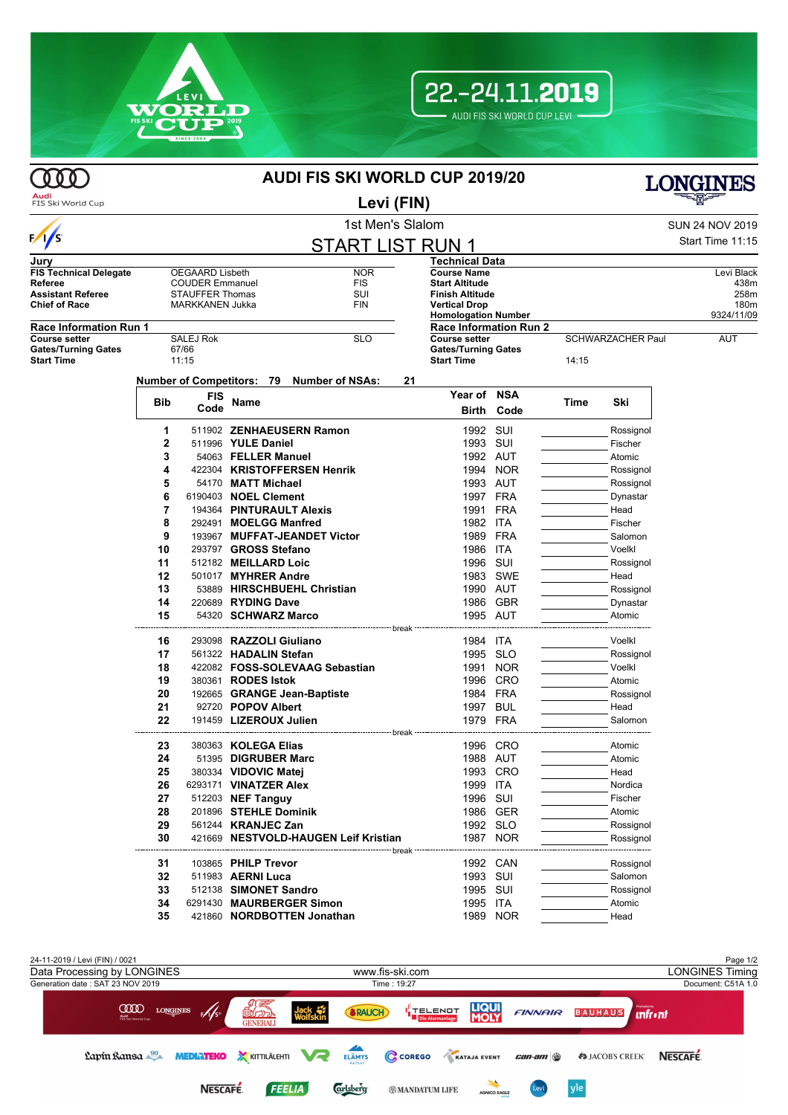



**COO** 

## **AUDI FIS SKI WORLD CUP 2019/20**



**Audi**<br>FIS Ski World Cup

## **Levi (FIN)**

1st Men's Slalom SUN 24 NOV 2019  $:15$ —<br>——

| $\frac{1}{s}$                 |                |                        |                           |  | <b>START LIST RUN 1</b>                           |                            |                                                             |            |       |                          | Start Time 11:15 |
|-------------------------------|----------------|------------------------|---------------------------|--|---------------------------------------------------|----------------------------|-------------------------------------------------------------|------------|-------|--------------------------|------------------|
| Jurv                          |                |                        |                           |  |                                                   |                            | Technical Data                                              |            |       |                          |                  |
| <b>FIS Technical Delegate</b> |                | <b>OEGAARD Lisbeth</b> |                           |  | <b>NOR</b>                                        |                            | <b>Course Name</b>                                          |            |       |                          | Levi Black       |
| Referee                       |                | <b>COUDER Emmanuel</b> |                           |  | <b>FIS</b>                                        |                            | <b>Start Altitude</b>                                       |            |       |                          | 438m             |
| <b>Assistant Referee</b>      |                | <b>STAUFFER Thomas</b> |                           |  | SUI                                               |                            | <b>Finish Altitude</b>                                      |            |       |                          | 258m             |
| <b>Chief of Race</b>          |                | MARKKANEN Jukka        |                           |  | <b>FIN</b>                                        |                            | <b>Vertical Drop</b>                                        |            |       |                          | 180m             |
| <b>Race Information Run 1</b> |                |                        |                           |  |                                                   |                            | <b>Homologation Number</b><br><b>Race Information Run 2</b> |            |       |                          | 9324/11/09       |
| <b>Course setter</b>          |                | <b>SALEJ Rok</b>       |                           |  | <b>SLO</b>                                        |                            | <b>Course setter</b>                                        |            |       | <b>SCHWARZACHER Paul</b> | <b>AUT</b>       |
| <b>Gates/Turning Gates</b>    |                | 67/66                  |                           |  |                                                   | <b>Gates/Turning Gates</b> |                                                             |            |       |                          |                  |
| <b>Start Time</b>             |                | 11:15                  |                           |  |                                                   |                            | <b>Start Time</b>                                           |            | 14:15 |                          |                  |
|                               |                |                        |                           |  | Number of Competitors: 79 Number of NSAs:         | 21                         |                                                             |            |       |                          |                  |
|                               |                |                        |                           |  |                                                   |                            | Year of NSA                                                 |            |       |                          |                  |
|                               | Bib            | FIS<br>Code            | Name                      |  |                                                   |                            |                                                             |            | Time  | Ski                      |                  |
|                               |                |                        |                           |  |                                                   |                            | Birth                                                       | Code       |       |                          |                  |
|                               | 1              |                        |                           |  | 511902 ZENHAEUSERN Ramon                          |                            | 1992 SUI                                                    |            |       | Rossignol                |                  |
|                               | $\overline{2}$ |                        | 511996 YULE Daniel        |  |                                                   |                            | 1993                                                        | SUI        |       | Fischer                  |                  |
|                               | 3              |                        | 54063 FELLER Manuel       |  |                                                   |                            | 1992 AUT                                                    |            |       | Atomic                   |                  |
|                               | 4              |                        |                           |  | 422304 KRISTOFFERSEN Henrik                       |                            | 1994                                                        | <b>NOR</b> |       | Rossignol                |                  |
|                               | 5              |                        | 54170 MATT Michael        |  |                                                   |                            |                                                             | 1993 AUT   |       | Rossignol                |                  |
|                               | 6              |                        | 6190403 NOEL Clement      |  |                                                   |                            |                                                             | 1997 FRA   |       | Dynastar                 |                  |
|                               | 7              |                        |                           |  | 194364 PINTURAULT Alexis                          |                            | 1991 FRA                                                    |            |       | Head                     |                  |
|                               | 8              |                        | 292491 MOELGG Manfred     |  |                                                   |                            | 1982 ITA                                                    |            |       | Fischer                  |                  |
|                               | 9              |                        |                           |  | 193967 MUFFAT-JEANDET Victor                      |                            | 1989                                                        | <b>FRA</b> |       | Salomon                  |                  |
|                               | 10             |                        | 293797 GROSS Stefano      |  |                                                   |                            | 1986                                                        | ITA        |       | Voelkl                   |                  |
|                               | 11             |                        | 512182 MEILLARD Loic      |  |                                                   |                            | 1996                                                        | sui        |       | Rossignol                |                  |
|                               | 12             |                        | 501017 MYHRER Andre       |  |                                                   |                            |                                                             | 1983 SWE   |       | Head                     |                  |
|                               | 13             |                        |                           |  | 53889 HIRSCHBUEHL Christian                       |                            |                                                             | 1990 AUT   |       | Rossignol                |                  |
|                               | 14             |                        | 220689 RYDING Dave        |  |                                                   |                            |                                                             | 1986 GBR   |       | Dynastar                 |                  |
|                               | 15             |                        | 54320 SCHWARZ Marco       |  |                                                   |                            |                                                             | 1995 AUT   |       | Atomic                   |                  |
|                               |                |                        |                           |  |                                                   | ---- break ---------       |                                                             |            |       |                          |                  |
|                               | 16             |                        | 293098 RAZZOLI Giuliano   |  |                                                   |                            | 1984 ITA                                                    |            |       | Voelkl                   |                  |
|                               | 17             |                        | 561322 HADALIN Stefan     |  |                                                   |                            |                                                             | 1995 SLO   |       | Rossignol                |                  |
|                               | 18             |                        |                           |  | 422082 FOSS-SOLEVAAG Sebastian                    |                            | 1991                                                        | <b>NOR</b> |       | Voelkl                   |                  |
|                               | 19             |                        | 380361 RODES Istok        |  |                                                   |                            |                                                             | 1996 CRO   |       | Atomic                   |                  |
|                               | 20             |                        |                           |  | 192665 GRANGE Jean-Baptiste                       |                            | 1984 FRA                                                    |            |       | Rossignol                |                  |
|                               | 21             |                        | 92720 POPOV Albert        |  |                                                   |                            | 1997                                                        | <b>BUL</b> |       | Head                     |                  |
|                               | 22             |                        | 191459 LIZEROUX Julien    |  |                                                   |                            | 1979                                                        | FRA        |       | Salomon                  |                  |
|                               |                |                        |                           |  | ------------------------------ break ------------ |                            |                                                             |            |       |                          |                  |
|                               | 23             |                        | 380363 KOLEGA Elias       |  |                                                   |                            |                                                             | 1996 CRO   |       | Atomic                   |                  |
|                               | 24             |                        | 51395 DIGRUBER Marc       |  |                                                   |                            |                                                             | 1988 AUT   |       | Atomic                   |                  |
|                               | 25             |                        | 380334 VIDOVIC Matej      |  |                                                   |                            |                                                             | 1993 CRO   |       | Head                     |                  |
|                               | 26             |                        | 6293171 VINATZER Alex     |  |                                                   |                            | 1999                                                        | ITA        |       | Nordica                  |                  |
|                               | 27             |                        | 512203 NEF Tanguy         |  |                                                   |                            | 1996 SUI                                                    |            |       | Fischer                  |                  |
|                               | 28             |                        | 201896 STEHLE Dominik     |  |                                                   |                            | 1986                                                        | GER        |       | Atomic                   |                  |
|                               | 29             |                        | 561244 <b>KRANJEC Zan</b> |  |                                                   |                            | 1992 SLO                                                    |            |       | Rossignol                |                  |
|                               | 30             |                        |                           |  | 421669 NESTVOLD-HAUGEN Leif Kristian              |                            | 1987                                                        | <b>NOR</b> |       | Rossignol                |                  |
|                               |                |                        |                           |  |                                                   |                            |                                                             |            |       |                          |                  |
|                               | 31             |                        | 103865 PHILP Trevor       |  |                                                   |                            |                                                             | 1992 CAN   |       | Rossignol                |                  |
|                               | 32<br>33       |                        | 511983 <b>AERNI Luca</b>  |  |                                                   |                            | 1993 SUI                                                    |            |       | Salomon                  |                  |
|                               |                |                        | 512138 SIMONET Sandro     |  |                                                   |                            | 1995 SUI                                                    |            |       | Rossignol                |                  |
|                               | 34             |                        |                           |  | 6291430 MAURBERGER Simon                          |                            | 1995 ITA                                                    |            |       | Atomic                   |                  |
|                               | 35             |                        |                           |  | 421860 NORDBOTTEN Jonathan                        |                            | 1989                                                        | <b>NOR</b> |       | Head                     |                  |